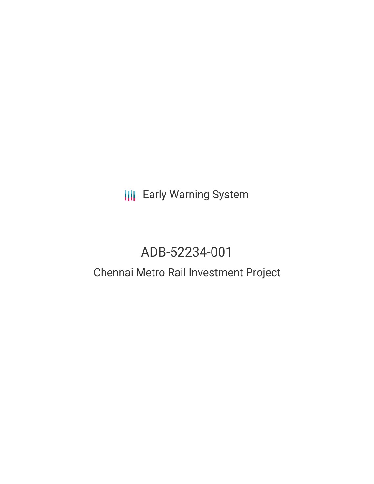# **III** Early Warning System

# ADB-52234-001

## Chennai Metro Rail Investment Project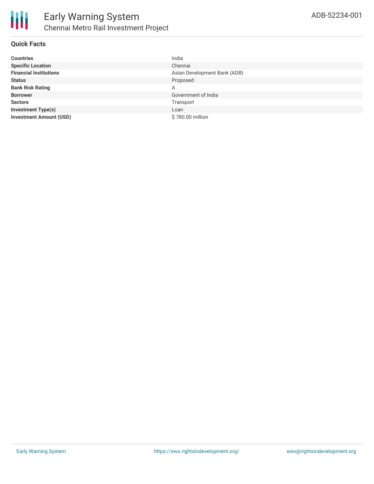#### **Quick Facts**

| <b>Countries</b>               | India                        |
|--------------------------------|------------------------------|
| <b>Specific Location</b>       | Chennai                      |
| <b>Financial Institutions</b>  | Asian Development Bank (ADB) |
| <b>Status</b>                  | Proposed                     |
| <b>Bank Risk Rating</b>        | A                            |
| <b>Borrower</b>                | Government of India          |
| <b>Sectors</b>                 | Transport                    |
| <b>Investment Type(s)</b>      | Loan                         |
| <b>Investment Amount (USD)</b> | \$780.00 million             |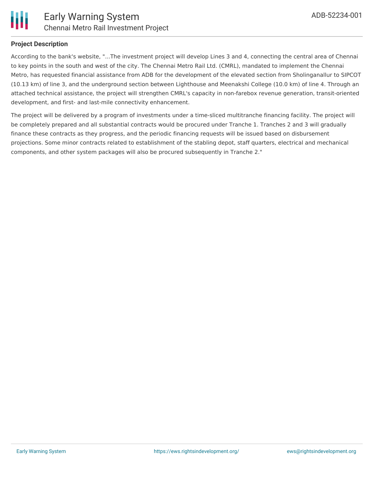

#### **Project Description**

According to the bank's website, "...The investment project will develop Lines 3 and 4, connecting the central area of Chennai to key points in the south and west of the city. The Chennai Metro Rail Ltd. (CMRL), mandated to implement the Chennai Metro, has requested financial assistance from ADB for the development of the elevated section from Sholinganallur to SIPCOT (10.13 km) of line 3, and the underground section between Lighthouse and Meenakshi College (10.0 km) of line 4. Through an attached technical assistance, the project will strengthen CMRL's capacity in non-farebox revenue generation, transit-oriented development, and first- and last-mile connectivity enhancement.

The project will be delivered by a program of investments under a time-sliced multitranche financing facility. The project will be completely prepared and all substantial contracts would be procured under Tranche 1. Tranches 2 and 3 will gradually finance these contracts as they progress, and the periodic financing requests will be issued based on disbursement projections. Some minor contracts related to establishment of the stabling depot, staff quarters, electrical and mechanical components, and other system packages will also be procured subsequently in Tranche 2."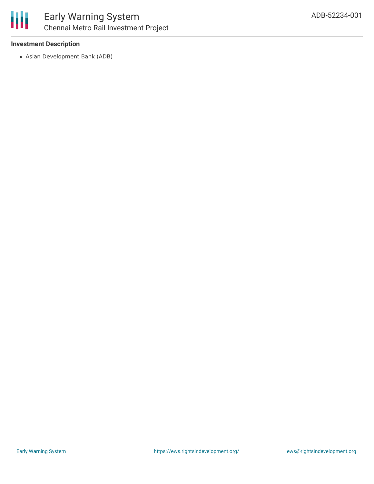

#### **Investment Description**

Asian Development Bank (ADB)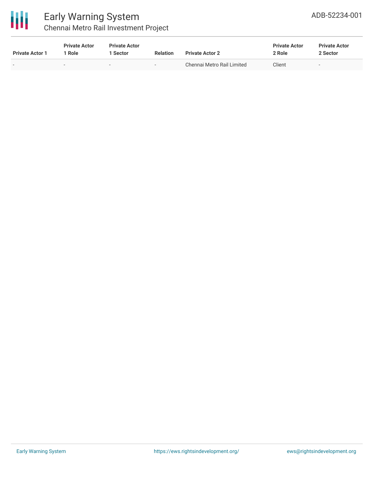

### Early Warning System Chennai Metro Rail Investment Project

| <b>Private Actor 1</b> | <b>Private Actor</b><br><sup>1</sup> Role | <b>Private Actor</b><br>1 Sector | <b>Relation</b>          | <b>Private Actor 2</b>     | <b>Private Actor</b><br>2 Role | <b>Private Actor</b><br>2 Sector |  |
|------------------------|-------------------------------------------|----------------------------------|--------------------------|----------------------------|--------------------------------|----------------------------------|--|
| -                      |                                           | $\overline{\phantom{0}}$         | $\overline{\phantom{0}}$ | Chennai Metro Rail Limited | Client                         | $\overline{\phantom{0}}$         |  |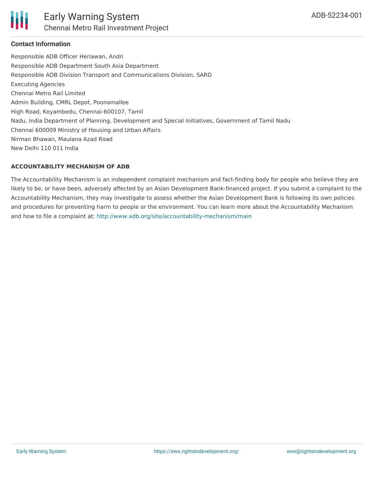

#### **Contact Information**

Responsible ADB Officer Heriawan, Andri Responsible ADB Department South Asia Department Responsible ADB Division Transport and Communications Division, SARD Executing Agencies Chennai Metro Rail Limited Admin Building, CMRL Depot, Poonamallee High Road, Koyambedu, Chennai-600107, Tamil Nadu, India Department of Planning, Development and Special Initiatives, Government of Tamil Nadu Chennai 600009 Ministry of Housing and Urban Affairs Nirman Bhawan, Maulana Azad Road New Delhi 110 011 India

#### **ACCOUNTABILITY MECHANISM OF ADB**

The Accountability Mechanism is an independent complaint mechanism and fact-finding body for people who believe they are likely to be, or have been, adversely affected by an Asian Development Bank-financed project. If you submit a complaint to the Accountability Mechanism, they may investigate to assess whether the Asian Development Bank is following its own policies and procedures for preventing harm to people or the environment. You can learn more about the Accountability Mechanism and how to file a complaint at: <http://www.adb.org/site/accountability-mechanism/main>